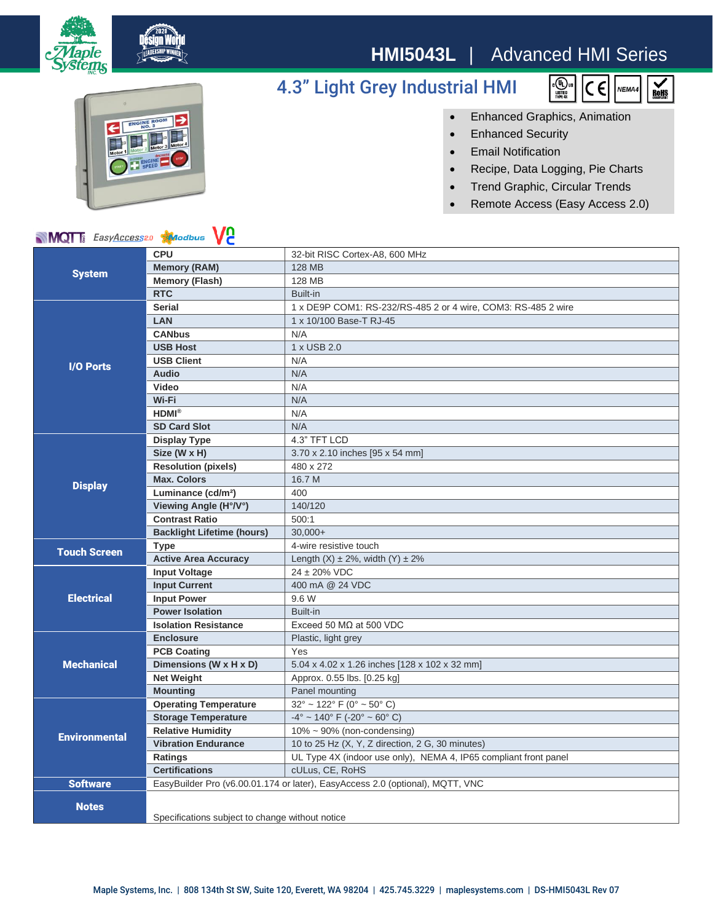

## **HMI5043L** | Advanced HMI Series

 $\begin{matrix} \mathbf{c} & \mathbf{r} \\ \mathbf{r} & \mathbf{r} \\ \mathbf{r} & \mathbf{r} \\ \mathbf{r} & \mathbf{r} \\ \mathbf{r} & \mathbf{r} \\ \mathbf{r} & \mathbf{r} \\ \mathbf{r} & \mathbf{r} \\ \mathbf{r} & \mathbf{r} \\ \mathbf{r} & \mathbf{r} \\ \mathbf{r} & \mathbf{r} \\ \mathbf{r} & \mathbf{r} \\ \mathbf{r} & \mathbf{r} \\ \mathbf{r} & \mathbf{r} \\ \mathbf{r} & \mathbf{r} \\ \mathbf{r} & \mathbf{r} \\ \mathbf{r$ 

 $\epsilon$ 

NEMA4

 $\sum_{\text{B} \text{OHS}}$ 

## 4.3" Light Grey Industrial HMI



• Enhanced Graphics, Animation

- Enhanced Security
- Email Notification
- Recipe, Data Logging, Pie Charts
- Trend Graphic, Circular Trends
- Remote Access (Easy Access 2.0)

| <b>MOT</b> EasyAccess20 <b>Modbus</b> |  | <b>V<sub>2</sub></b> |  |
|---------------------------------------|--|----------------------|--|
|                                       |  |                      |  |

| <b>NIVIQI</b> I <sub>8</sub> Easy <u>Access</u> 20<br><b>A JOGDUS</b><br>VC. |                                                                               |                                                                  |  |
|------------------------------------------------------------------------------|-------------------------------------------------------------------------------|------------------------------------------------------------------|--|
| <b>System</b>                                                                | <b>CPU</b>                                                                    | 32-bit RISC Cortex-A8, 600 MHz                                   |  |
|                                                                              | <b>Memory (RAM)</b>                                                           | <b>128 MB</b>                                                    |  |
|                                                                              | <b>Memory (Flash)</b>                                                         | 128 MB                                                           |  |
|                                                                              | <b>RTC</b>                                                                    | Built-in                                                         |  |
|                                                                              | <b>Serial</b>                                                                 | 1 x DE9P COM1: RS-232/RS-485 2 or 4 wire, COM3: RS-485 2 wire    |  |
| <b>I/O Ports</b>                                                             | <b>LAN</b>                                                                    | 1 x 10/100 Base-T RJ-45                                          |  |
|                                                                              | <b>CANbus</b>                                                                 | N/A                                                              |  |
|                                                                              | <b>USB Host</b>                                                               | 1 x USB 2.0                                                      |  |
|                                                                              | <b>USB Client</b>                                                             | N/A                                                              |  |
|                                                                              | <b>Audio</b>                                                                  | N/A                                                              |  |
|                                                                              | Video                                                                         | N/A                                                              |  |
|                                                                              | Wi-Fi                                                                         | N/A                                                              |  |
|                                                                              | <b>HDMI®</b>                                                                  | N/A                                                              |  |
|                                                                              | <b>SD Card Slot</b>                                                           | N/A                                                              |  |
| <b>Display</b>                                                               | <b>Display Type</b>                                                           | 4.3" TFT LCD                                                     |  |
|                                                                              | Size (W x H)                                                                  | 3.70 x 2.10 inches [95 x 54 mm]                                  |  |
|                                                                              | <b>Resolution (pixels)</b>                                                    | 480 x 272                                                        |  |
|                                                                              | <b>Max. Colors</b>                                                            | 16.7 M                                                           |  |
|                                                                              | Luminance (cd/m <sup>2</sup> )                                                | 400                                                              |  |
|                                                                              | Viewing Angle (H°/V°)                                                         | 140/120                                                          |  |
|                                                                              | <b>Contrast Ratio</b>                                                         | 500:1                                                            |  |
|                                                                              | <b>Backlight Lifetime (hours)</b>                                             | $30.000+$                                                        |  |
| <b>Touch Screen</b>                                                          | <b>Type</b>                                                                   | 4-wire resistive touch                                           |  |
|                                                                              | <b>Active Area Accuracy</b>                                                   | Length $(X) \pm 2\%$ , width $(Y) \pm 2\%$                       |  |
| <b>Electrical</b>                                                            | <b>Input Voltage</b>                                                          | $24 \pm 20\%$ VDC                                                |  |
|                                                                              | <b>Input Current</b>                                                          | 400 mA @ 24 VDC                                                  |  |
|                                                                              | <b>Input Power</b>                                                            | 9.6 W                                                            |  |
|                                                                              | <b>Power Isolation</b>                                                        | Built-in                                                         |  |
|                                                                              | <b>Isolation Resistance</b>                                                   | Exceed 50 $M\Omega$ at 500 VDC                                   |  |
| <b>Mechanical</b>                                                            | <b>Enclosure</b>                                                              | Plastic, light grey                                              |  |
|                                                                              | <b>PCB Coating</b>                                                            | Yes                                                              |  |
|                                                                              | Dimensions (W x H x D)                                                        | 5.04 x 4.02 x 1.26 inches [128 x 102 x 32 mm]                    |  |
|                                                                              | <b>Net Weight</b>                                                             | Approx. 0.55 lbs. [0.25 kg]                                      |  |
|                                                                              | <b>Mounting</b>                                                               | Panel mounting                                                   |  |
| <b>Environmental</b>                                                         | <b>Operating Temperature</b>                                                  | $32^{\circ}$ ~ 122° F (0° ~ 50° C)                               |  |
|                                                                              | <b>Storage Temperature</b>                                                    | $-4^{\circ}$ ~ 140° F (-20° ~ 60° C)                             |  |
|                                                                              | <b>Relative Humidity</b>                                                      | $10\% \sim 90\%$ (non-condensing)                                |  |
|                                                                              | <b>Vibration Endurance</b>                                                    | 10 to 25 Hz (X, Y, Z direction, 2 G, 30 minutes)                 |  |
|                                                                              | Ratings                                                                       | UL Type 4X (indoor use only), NEMA 4, IP65 compliant front panel |  |
|                                                                              | <b>Certifications</b>                                                         | cULus, CE, RoHS                                                  |  |
| <b>Software</b>                                                              | EasyBuilder Pro (v6.00.01.174 or later), EasyAccess 2.0 (optional), MQTT, VNC |                                                                  |  |
| <b>Notes</b>                                                                 |                                                                               |                                                                  |  |
|                                                                              | Specifications subject to change without notice                               |                                                                  |  |
|                                                                              |                                                                               |                                                                  |  |